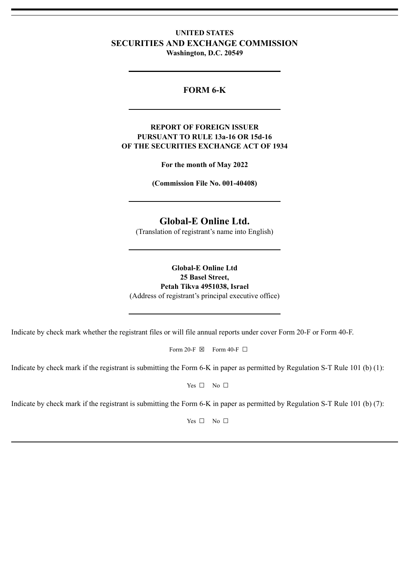### **UNITED STATES SECURITIES AND EXCHANGE COMMISSION Washington, D.C. 20549**

# **FORM 6-K**

### **REPORT OF FOREIGN ISSUER PURSUANT TO RULE 13a-16 OR 15d-16 OF THE SECURITIES EXCHANGE ACT OF 1934**

**For the month of May 2022**

**(Commission File No. 001-40408)**

**Global-E Online Ltd.**

(Translation of registrant's name into English)

**Global-E Online Ltd 25 Basel Street, Petah Tikva 4951038, Israel** (Address of registrant's principal executive office)

Indicate by check mark whether the registrant files or will file annual reports under cover Form 20-F or Form 40-F.

Form 20-F  $\boxtimes$  Form 40-F  $\Box$ 

Indicate by check mark if the registrant is submitting the Form 6-K in paper as permitted by Regulation S-T Rule 101 (b) (1):

Yes  $\Box$  No  $\Box$ 

Indicate by check mark if the registrant is submitting the Form 6-K in paper as permitted by Regulation S-T Rule 101 (b) (7):

Yes □ No □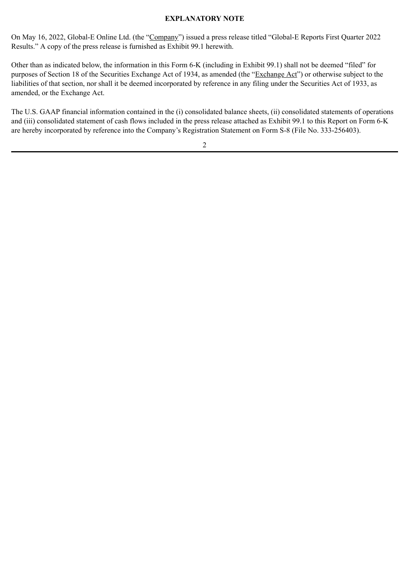#### **EXPLANATORY NOTE**

On May 16, 2022, Global-E Online Ltd. (the "Company") issued a press release titled "Global-E Reports First Quarter 2022 Results." A copy of the press release is furnished as Exhibit 99.1 herewith.

Other than as indicated below, the information in this Form 6-K (including in Exhibit 99.1) shall not be deemed "filed" for purposes of Section 18 of the Securities Exchange Act of 1934, as amended (the "Exchange Act") or otherwise subject to the liabilities of that section, nor shall it be deemed incorporated by reference in any filing under the Securities Act of 1933, as amended, or the Exchange Act.

The U.S. GAAP financial information contained in the (i) consolidated balance sheets, (ii) consolidated statements of operations and (iii) consolidated statement of cash flows included in the press release attached as Exhibit 99.1 to this Report on Form 6-K are hereby incorporated by reference into the Company's Registration Statement on Form S-8 (File No. 333-256403).

2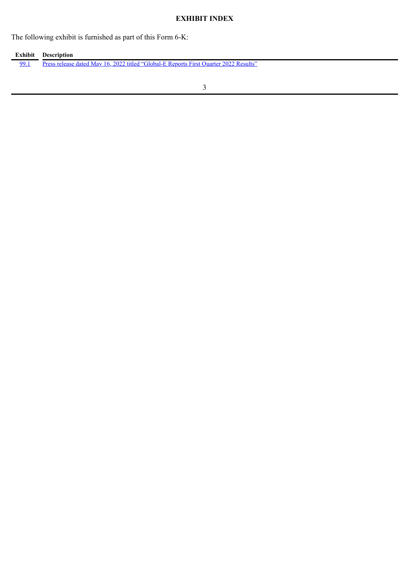# **EXHIBIT INDEX**

The following exhibit is furnished as part of this Form 6-K:

|      | <b>Exhibit Description</b>                                                            |
|------|---------------------------------------------------------------------------------------|
| 99.1 | Press release dated May 16, 2022 titled "Global-E Reports First Quarter 2022 Results" |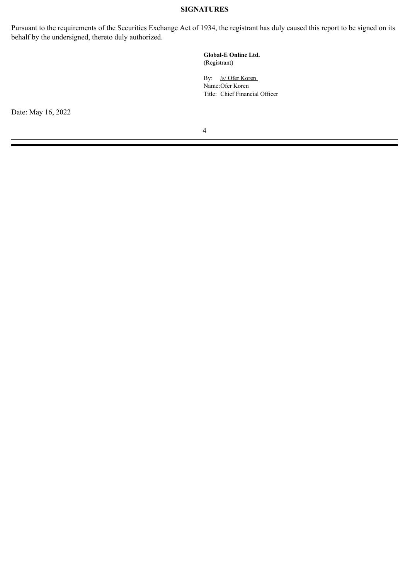### **SIGNATURES**

Pursuant to the requirements of the Securities Exchange Act of 1934, the registrant has duly caused this report to be signed on its behalf by the undersigned, thereto duly authorized.

> **Global-E Online Ltd.** (Registrant)

By: /s/ Ofer Koren Name:Ofer Koren Title: Chief Financial Officer

Date: May 16, 2022

4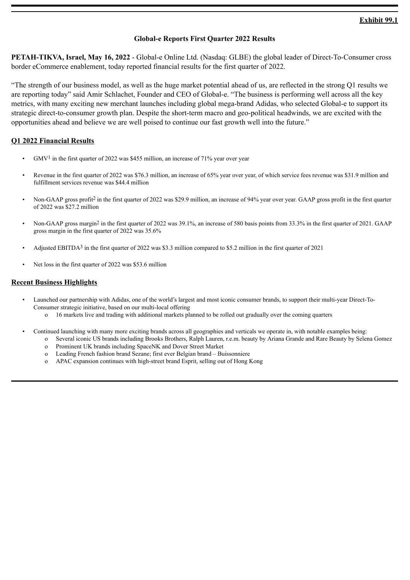### **Exhibit 99.1**

#### **Global-e Reports First Quarter 2022 Results**

<span id="page-4-0"></span>**PETAH-TIKVA, Israel, May 16, 2022** - Global-e Online Ltd. (Nasdaq: GLBE) the global leader of Direct-To-Consumer cross border eCommerce enablement, today reported financial results for the first quarter of 2022.

"The strength of our business model, as well as the huge market potential ahead of us, are reflected in the strong Q1 results we are reporting today" said Amir Schlachet, Founder and CEO of Global-e. "The business is performing well across all the key metrics, with many exciting new merchant launches including global mega-brand Adidas, who selected Global-e to support its strategic direct-to-consumer growth plan. Despite the short-term macro and geo-political headwinds, we are excited with the opportunities ahead and believe we are well poised to continue our fast growth well into the future."

### **Q1 2022 Financial Results**

- $GMV<sup>1</sup>$  in the first quarter of 2022 was \$455 million, an increase of 71% year over year
- Revenue in the first quarter of 2022 was \$76.3 million, an increase of 65% year over year, of which service fees revenue was \$31.9 million and fulfillment services revenue was \$44.4 million
- Non-GAAP gross profit2 in the first quarter of 2022 was \$29.9 million, an increase of 94% year over year. GAAP gross profit in the first quarter of 2022 was \$27.2 million
- Non-GAAP gross margin2 in the first quarter of 2022 was 39.1%, an increase of 580 basis points from 33.3% in the first quarter of 2021. GAAP gross margin in the first quarter of 2022 was 35.6%
- Adjusted EBITDA3 in the first quarter of 2022 was \$3.3 million compared to \$5.2 million in the first quarter of 2021
- Net loss in the first quarter of 2022 was \$53.6 million

### **Recent Business Highlights**

- Launched our partnership with Adidas, one of the world's largest and most iconic consumer brands, to support their multi-year Direct-To-Consumer strategic initiative, based on our multi-local offering
	- o 16 markets live and trading with additional markets planned to be rolled out gradually over the coming quarters
- Continued launching with many more exciting brands across all geographies and verticals we operate in, with notable examples being:
	- o Several iconic US brands including Brooks Brothers, Ralph Lauren, r.e.m. beauty by Ariana Grande and Rare Beauty by Selena Gomez
	- o Prominent UK brands including SpaceNK and Dover Street Market
	- o Leading French fashion brand Sezane; first ever Belgian brand Buissonniere
	- o APAC expansion continues with high-street brand Esprit, selling out of Hong Kong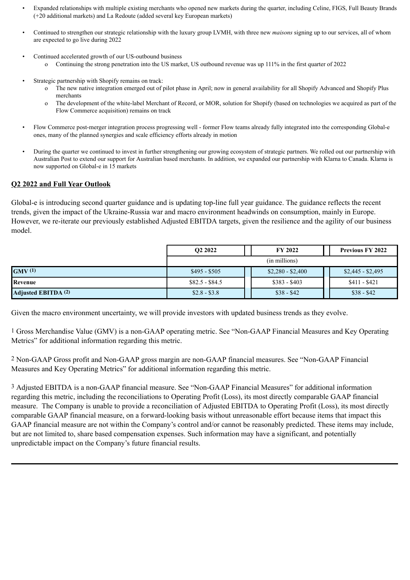- Expanded relationships with multiple existing merchants who opened new markets during the quarter, including Celine, FIGS, Full Beauty Brands (+20 additional markets) and La Redoute (added several key European markets)
- Continued to strengthen our strategic relationship with the luxury group LVMH, with three new *maisons* signing up to our services, all of whom are expected to go live during 2022
- Continued accelerated growth of our US-outbound business
	- o Continuing the strong penetration into the US market, US outbound revenue was up 111% in the first quarter of 2022
- Strategic partnership with Shopify remains on track:
	- o The new native integration emerged out of pilot phase in April; now in general availability for all Shopify Advanced and Shopify Plus merchants
	- o The development of the white-label Merchant of Record, or MOR, solution for Shopify (based on technologies we acquired as part of the Flow Commerce acquisition) remains on track
- Flow Commerce post-merger integration process progressing well former Flow teams already fully integrated into the corresponding Global-e ones, many of the planned synergies and scale efficiency efforts already in motion
- During the quarter we continued to invest in further strengthening our growing ecosystem of strategic partners. We rolled out our partnership with Australian Post to extend our support for Australian based merchants. In addition, we expanded our partnership with Klarna to Canada. Klarna is now supported on Global-e in 15 markets

#### **Q2 2022 and Full Year Outlook**

Global-e is introducing second quarter guidance and is updating top-line full year guidance. The guidance reflects the recent trends, given the impact of the Ukraine-Russia war and macro environment headwinds on consumption, mainly in Europe. However, we re-iterate our previously established Adjusted EBITDA targets, given the resilience and the agility of our business model.

|                            | O <sub>2</sub> 2022 | <b>FY 2022</b>    | <b>Previous FY 2022</b> |  |  |
|----------------------------|---------------------|-------------------|-------------------------|--|--|
|                            | (in millions)       |                   |                         |  |  |
| GMV(1)                     | $$495 - $505$       | $$2,280 - $2,400$ | $$2,445 - $2,495$       |  |  |
| Revenue                    | $$82.5 - $84.5$     | $$383 - $403$     | $$411 - $421$           |  |  |
| <b>Adjusted EBITDA (2)</b> | $$2.8 - $3.8$       | $$38 - $42$       | $$38 - $42$             |  |  |

Given the macro environment uncertainty, we will provide investors with updated business trends as they evolve.

1 Gross Merchandise Value (GMV) is a non-GAAP operating metric. See "Non-GAAP Financial Measures and Key Operating Metrics" for additional information regarding this metric.

2 Non-GAAP Gross profit and Non-GAAP gross margin are non-GAAP financial measures. See "Non-GAAP Financial Measures and Key Operating Metrics" for additional information regarding this metric.

3 Adjusted EBITDA is a non-GAAP financial measure. See "Non-GAAP Financial Measures" for additional information regarding this metric, including the reconciliations to Operating Profit (Loss), its most directly comparable GAAP financial measure. The Company is unable to provide a reconciliation of Adjusted EBITDA to Operating Profit (Loss), its most directly comparable GAAP financial measure, on a forward-looking basis without unreasonable effort because items that impact this GAAP financial measure are not within the Company's control and/or cannot be reasonably predicted. These items may include, but are not limited to, share based compensation expenses. Such information may have a significant, and potentially unpredictable impact on the Company's future financial results.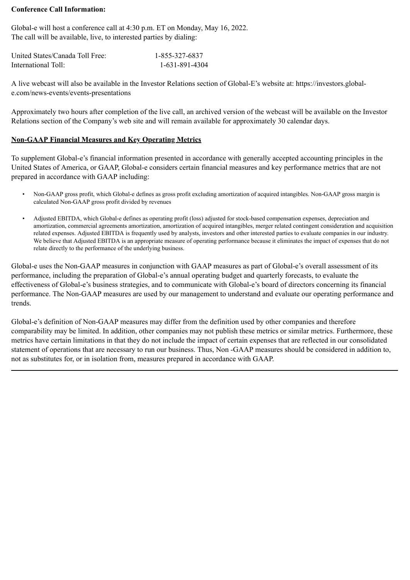### **Conference Call Information:**

Global-e will host a conference call at 4:30 p.m. ET on Monday, May 16, 2022. The call will be available, live, to interested parties by dialing:

| United States/Canada Toll Free: | 1-855-327-6837 |
|---------------------------------|----------------|
| International Toll:             | 1-631-891-4304 |

A live webcast will also be available in the Investor Relations section of Global-E's website at: https://investors.globale.com/news-events/events-presentations

Approximately two hours after completion of the live call, an archived version of the webcast will be available on the Investor Relations section of the Company's web site and will remain available for approximately 30 calendar days.

# **Non-GAAP Financial Measures and Key Operating Metrics**

To supplement Global-e's financial information presented in accordance with generally accepted accounting principles in the United States of America, or GAAP, Global-e considers certain financial measures and key performance metrics that are not prepared in accordance with GAAP including:

- Non-GAAP gross profit, which Global-e defines as gross profit excluding amortization of acquired intangibles. Non-GAAP gross margin is calculated Non-GAAP gross profit divided by revenues
- Adjusted EBITDA, which Global-e defines as operating profit (loss) adjusted for stock-based compensation expenses, depreciation and amortization, commercial agreements amortization, amortization of acquired intangibles, merger related contingent consideration and acquisition related expenses. Adjusted EBITDA is frequently used by analysts, investors and other interested parties to evaluate companies in our industry. We believe that Adjusted EBITDA is an appropriate measure of operating performance because it eliminates the impact of expenses that do not relate directly to the performance of the underlying business.

Global-e uses the Non-GAAP measures in conjunction with GAAP measures as part of Global-e's overall assessment of its performance, including the preparation of Global-e's annual operating budget and quarterly forecasts, to evaluate the effectiveness of Global-e's business strategies, and to communicate with Global-e's board of directors concerning its financial performance. The Non-GAAP measures are used by our management to understand and evaluate our operating performance and trends.

Global-e's definition of Non-GAAP measures may differ from the definition used by other companies and therefore comparability may be limited. In addition, other companies may not publish these metrics or similar metrics. Furthermore, these metrics have certain limitations in that they do not include the impact of certain expenses that are reflected in our consolidated statement of operations that are necessary to run our business. Thus, Non -GAAP measures should be considered in addition to, not as substitutes for, or in isolation from, measures prepared in accordance with GAAP.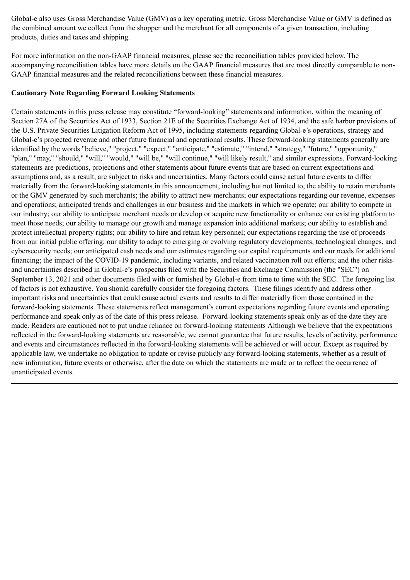Global-e also uses Gross Merchandise Value (GMV) as a key operating metric. Gross Merchandise Value or GMV is defined as the combined amount we collect from the shopper and the merchant for all components of a given transaction, including products, duties and taxes and shipping.

For more information on the non-GAAP financial measures, please see the reconciliation tables provided below. The accompanying reconciliation tables have more details on the GAAP financial measures that are most directly comparable to non-GAAP financial measures and the related reconciliations between these financial measures.

### **Cautionary Note Regarding Forward Looking Statements**

Certain statements in this press release may constitute "forward-looking" statements and information, within the meaning of Section 27A of the Securities Act of 1933, Section 21E of the Securities Exchange Act of 1934, and the safe harbor provisions of the U.S. Private Securities Litigation Reform Act of 1995, including statements regarding Global-e's operations, strategy and Global-e's projected revenue and other future financial and operational results. These forward-looking statements generally are identified by the words "believe," "project," "expect," "anticipate," "estimate," "intend," "strategy," "future," "opportunity," "plan," "may," "should," "will," "would," "will be," "will continue," "will likely result," and similar expressions. Forward-looking statements are predictions, projections and other statements about future events that are based on current expectations and assumptions and, as a result, are subject to risks and uncertainties. Many factors could cause actual future events to differ materially from the forward-looking statements in this announcement, including but not limited to, the ability to retain merchants or the GMV generated by such merchants; the ability to attract new merchants; our expectations regarding our revenue, expenses and operations; anticipated trends and challenges in our business and the markets in which we operate; our ability to compete in our industry; our ability to anticipate merchant needs or develop or acquire new functionality or enhance our existing platform to meet those needs; our ability to manage our growth and manage expansion into additional markets; our ability to establish and protect intellectual property rights; our ability to hire and retain key personnel; our expectations regarding the use of proceeds from our initial public offering; our ability to adapt to emerging or evolving regulatory developments, technological changes, and cybersecurity needs; our anticipated cash needs and our estimates regarding our capital requirements and our needs for additional financing; the impact of the COVID-19 pandemic, including variants, and related vaccination roll out efforts; and the other risks and uncertainties described in Global-e's prospectus filed with the Securities and Exchange Commission (the "SEC") on September 13, 2021 and other documents filed with or furnished by Global-e from time to time with the SEC. The foregoing list of factors is not exhaustive. You should carefully consider the foregoing factors. These filings identify and address other important risks and uncertainties that could cause actual events and results to differ materially from those contained in the forward-looking statements. These statements reflect management's current expectations regarding future events and operating performance and speak only as of the date of this press release. Forward-looking statements speak only as of the date they are made. Readers are cautioned not to put undue reliance on forward-looking statements Although we believe that the expectations reflected in the forward-looking statements are reasonable, we cannot guarantee that future results, levels of activity, performance and events and circumstances reflected in the forward-looking statements will be achieved or will occur. Except as required by applicable law, we undertake no obligation to update or revise publicly any forward-looking statements, whether as a result of new information, future events or otherwise, after the date on which the statements are made or to reflect the occurrence of unanticipated events.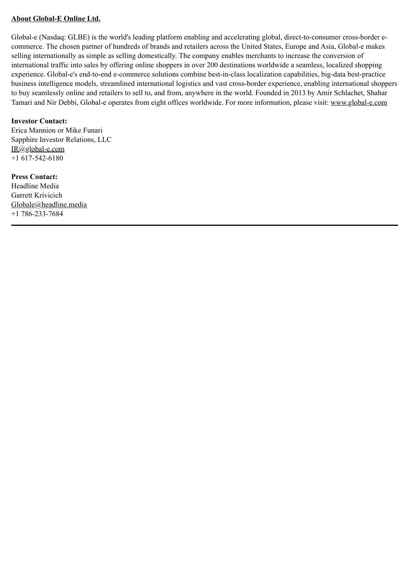### **About Global-E Online Ltd.**

Global-e (Nasdaq: GLBE) is the world's leading platform enabling and accelerating global, direct-to-consumer cross-border ecommerce. The chosen partner of hundreds of brands and retailers across the United States, Europe and Asia, Global-e makes selling internationally as simple as selling domestically. The company enables merchants to increase the conversion of international traffic into sales by offering online shoppers in over 200 destinations worldwide a seamless, localized shopping experience. Global-e's end-to-end e-commerce solutions combine best-in-class localization capabilities, big-data best-practice business intelligence models, streamlined international logistics and vast cross-border experience, enabling international shoppers to buy seamlessly online and retailers to sell to, and from, anywhere in the world. Founded in 2013 by Amir Schlachet, Shahar Tamari and Nir Debbi, Global-e operates from eight offices worldwide. For more information, please visit: www.global-e.com

#### **Investor Contact:**

Erica Mannion or Mike Funari Sapphire Investor Relations, LLC IR@global-e.com +1 617-542-6180

**Press Contact:**

Headline Media Garrett Krivicich Globale@headline.media +1 786-233-7684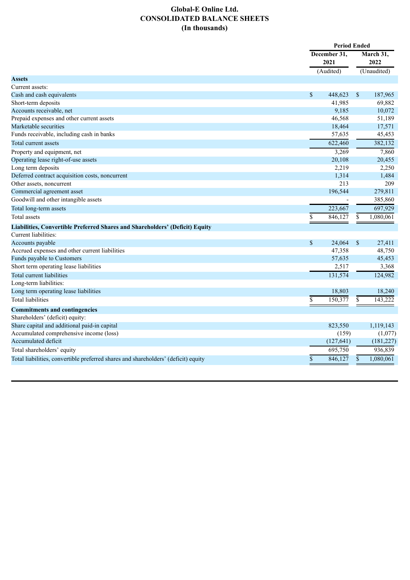# **Global-E Online Ltd. CONSOLIDATED BALANCE SHEETS (In thousands)**

|                                                                                    |                      | <b>Period Ended</b> |                   |  |
|------------------------------------------------------------------------------------|----------------------|---------------------|-------------------|--|
|                                                                                    | December 31,<br>2021 |                     | March 31,<br>2022 |  |
|                                                                                    | (Audited)            |                     | (Unaudited)       |  |
| <b>Assets</b>                                                                      |                      |                     |                   |  |
| Current assets:                                                                    |                      |                     |                   |  |
| Cash and cash equivalents                                                          | \$<br>448,623        | $\mathcal{S}$       | 187,965           |  |
| Short-term deposits                                                                | 41,985               |                     | 69,882            |  |
| Accounts receivable, net                                                           | 9,185                |                     | 10,072            |  |
| Prepaid expenses and other current assets                                          | 46,568               |                     | 51,189            |  |
| Marketable securities                                                              | 18,464               |                     | 17,571            |  |
| Funds receivable, including cash in banks                                          | 57,635               |                     | 45,453            |  |
| Total current assets                                                               | 622,460              |                     | 382,132           |  |
| Property and equipment, net                                                        | 3,269                |                     | 7,860             |  |
| Operating lease right-of-use assets                                                | 20,108               |                     | 20,455            |  |
| Long term deposits                                                                 | 2,219                |                     | 2,250             |  |
| Deferred contract acquisition costs, noncurrent                                    | 1,314                |                     | 1,484             |  |
| Other assets, noncurrent                                                           | 213                  |                     | 209               |  |
| Commercial agreement asset                                                         | 196,544              |                     | 279,811           |  |
| Goodwill and other intangible assets                                               |                      |                     | 385,860           |  |
| Total long-term assets                                                             | 223,667              |                     | 697,929           |  |
| <b>Total assets</b>                                                                | \$<br>846,127        | \$                  | 1,080,061         |  |
| Liabilities, Convertible Preferred Shares and Shareholders' (Deficit) Equity       |                      |                     |                   |  |
| Current liabilities:                                                               |                      |                     |                   |  |
| Accounts payable                                                                   | \$<br>24,064         | $\mathcal{S}$       | 27,411            |  |
| Accrued expenses and other current liabilities                                     | 47,358               |                     | 48,750            |  |
| Funds payable to Customers                                                         | 57,635               |                     | 45,453            |  |
| Short term operating lease liabilities                                             | 2,517                |                     | 3,368             |  |
| Total current liabilities                                                          | 131,574              |                     | 124,982           |  |
| Long-term liabilities:                                                             |                      |                     |                   |  |
| Long term operating lease liabilities                                              | 18,803               |                     | 18,240            |  |
| <b>Total liabilities</b>                                                           | \$<br>150,377        | \$                  | 143,222           |  |
| <b>Commitments and contingencies</b>                                               |                      |                     |                   |  |
| Shareholders' (deficit) equity:                                                    |                      |                     |                   |  |
| Share capital and additional paid-in capital                                       | 823,550              |                     | 1,119,143         |  |
| Accumulated comprehensive income (loss)                                            | (159)                |                     | (1,077)           |  |
| Accumulated deficit                                                                | (127, 641)           |                     | (181, 227)        |  |
| Total shareholders' equity                                                         | 695,750              |                     | 936,839           |  |
| Total liabilities, convertible preferred shares and shareholders' (deficit) equity | \$<br>846,127        | \$                  | 1,080,061         |  |
|                                                                                    |                      |                     |                   |  |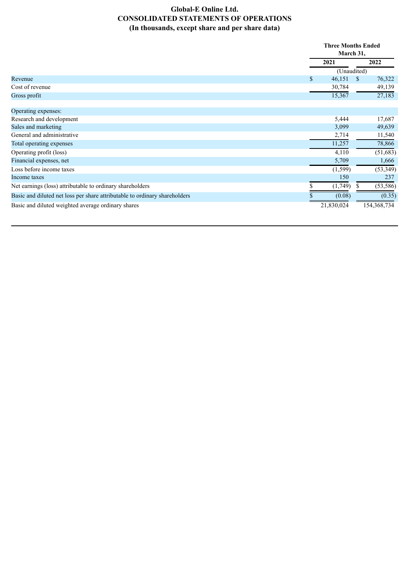### **Global-E Online Ltd. CONSOLIDATED STATEMENTS OF OPERATIONS (In thousands, except share and per share data)**

|                                                                            | <b>Three Months Ended</b><br>March 31, |             |              |             |
|----------------------------------------------------------------------------|----------------------------------------|-------------|--------------|-------------|
|                                                                            | 2021                                   |             | 2022         |             |
|                                                                            |                                        | (Unaudited) |              |             |
| Revenue                                                                    | \$                                     | 46,151      | $\mathbb{S}$ | 76,322      |
| Cost of revenue                                                            |                                        | 30,784      |              | 49,139      |
| Gross profit                                                               |                                        | 15,367      |              | 27,183      |
| Operating expenses:                                                        |                                        |             |              |             |
| Research and development                                                   |                                        | 5,444       |              | 17,687      |
| Sales and marketing                                                        |                                        | 3,099       |              | 49,639      |
| General and administrative                                                 |                                        | 2,714       |              | 11,540      |
| Total operating expenses                                                   |                                        | 11,257      |              | 78,866      |
| Operating profit (loss)                                                    |                                        | 4,110       |              | (51, 683)   |
| Financial expenses, net                                                    |                                        | 5,709       |              | 1,666       |
| Loss before income taxes                                                   |                                        | (1, 599)    |              | (53, 349)   |
| Income taxes                                                               |                                        | 150         |              | 237         |
| Net earnings (loss) attributable to ordinary shareholders                  |                                        | (1,749)     | \$           | (53, 586)   |
| Basic and diluted net loss per share attributable to ordinary shareholders |                                        | (0.08)      |              | (0.35)      |
| Basic and diluted weighted average ordinary shares                         |                                        | 21,830,024  |              | 154,368,734 |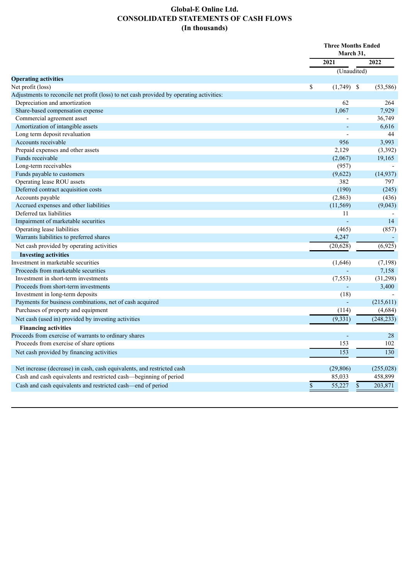# **Global-E Online Ltd. CONSOLIDATED STATEMENTS OF CASH FLOWS (In thousands)**

|                                                                                          |                                 | <b>Three Months Ended</b><br>March 31, |  |
|------------------------------------------------------------------------------------------|---------------------------------|----------------------------------------|--|
|                                                                                          | 2021                            | 2022                                   |  |
|                                                                                          | $\overline{\text{(Unaudited)}}$ |                                        |  |
| <b>Operating activities</b>                                                              |                                 |                                        |  |
| Net profit (loss)                                                                        | \$<br>$(1,749)$ \$              | (53, 586)                              |  |
| Adjustments to reconcile net profit (loss) to net cash provided by operating activities: |                                 |                                        |  |
| Depreciation and amortization                                                            | 62                              | 264                                    |  |
| Share-based compensation expense                                                         | 1,067                           | 7,929                                  |  |
| Commercial agreement asset                                                               |                                 | 36,749                                 |  |
| Amortization of intangible assets                                                        | $\blacksquare$                  | 6,616                                  |  |
| Long term deposit revaluation                                                            | $\overline{a}$                  | 44                                     |  |
| Accounts receivable                                                                      | 956                             | 3,993                                  |  |
| Prepaid expenses and other assets                                                        | 2,129                           | (3,392)                                |  |
| Funds receivable                                                                         | (2,067)                         | 19,165                                 |  |
| Long-term receivables                                                                    | (957)                           |                                        |  |
| Funds payable to customers                                                               | (9,622)                         | (14, 937)                              |  |
| Operating lease ROU assets                                                               | 382                             | 797                                    |  |
| Deferred contract acquisition costs                                                      | (190)                           | (245)                                  |  |
| Accounts payable                                                                         | (2, 863)                        | (436)                                  |  |
| Accrued expenses and other liabilities                                                   | (11, 569)                       | (9,043)                                |  |
| Deferred tax liabilities                                                                 | 11                              |                                        |  |
| Impairment of marketable securities                                                      |                                 | 14                                     |  |
| Operating lease liabilities                                                              | (465)                           | (857)                                  |  |
| Warrants liabilities to preferred shares                                                 | 4,247                           |                                        |  |
| Net cash provided by operating activities                                                | (20,628)                        | (6, 925)                               |  |
| <b>Investing activities</b>                                                              |                                 |                                        |  |
| Investment in marketable securities                                                      | (1,646)                         | (7, 198)                               |  |
| Proceeds from marketable securities                                                      |                                 | 7,158                                  |  |
| Investment in short-term investments                                                     | (7, 553)                        | (31,298)                               |  |
| Proceeds from short-term investments                                                     | ÷,                              | 3,400                                  |  |
| Investment in long-term deposits                                                         | (18)                            |                                        |  |
| Payments for business combinations, net of cash acquired                                 | u,                              | (215, 611)                             |  |
| Purchases of property and equipment                                                      | (114)                           | (4,684)                                |  |
| Net cash (used in) provided by investing activities                                      | (9, 331)                        | (248, 233)                             |  |
| <b>Financing activities</b>                                                              |                                 |                                        |  |
| Proceeds from exercise of warrants to ordinary shares                                    |                                 | 28                                     |  |
| Proceeds from exercise of share options                                                  | 153                             | 102                                    |  |
| Net cash provided by financing activities                                                | 153                             | $\overline{130}$                       |  |
|                                                                                          |                                 |                                        |  |
| Net increase (decrease) in cash, cash equivalents, and restricted cash                   | (29, 806)                       | (255, 028)                             |  |
| Cash and cash equivalents and restricted cash-beginning of period                        | 85,033                          | 458,899                                |  |
| Cash and cash equivalents and restricted cash-end of period                              | 55,227<br>\$                    | $\mathbb{S}$<br>203,871                |  |
|                                                                                          |                                 |                                        |  |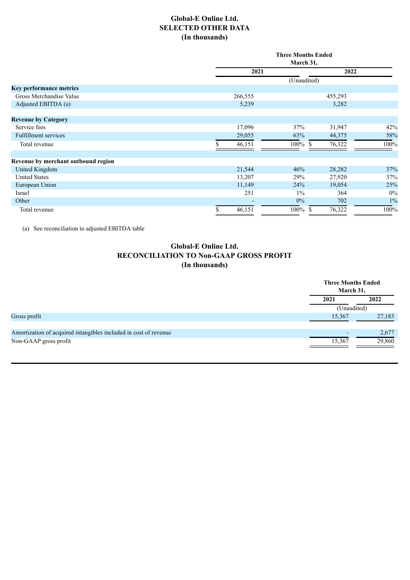### **Global-E Online Ltd. SELECTED OTHER DATA (In thousands)**

|                                     |    | <b>Three Months Ended</b><br>March 31, |             |         |       |
|-------------------------------------|----|----------------------------------------|-------------|---------|-------|
|                                     |    |                                        |             |         |       |
|                                     |    | 2021                                   |             |         | 2022  |
|                                     |    |                                        | (Unaudited) |         |       |
| <b>Key performance metrics</b>      |    |                                        |             |         |       |
| Gross Merchandise Value             |    | 266,555                                |             | 455,293 |       |
| Adjusted EBITDA (a)                 |    | 5,239                                  |             | 3,282   |       |
| <b>Revenue by Category</b>          |    |                                        |             |         |       |
| Service fees                        |    | 17,096                                 | 37%         | 31,947  | 42%   |
| <b>Fulfillment services</b>         |    | 29,055                                 | 63%         | 44,375  | 58%   |
| Total revenue                       |    | 46,151                                 | $100\%$     | 76,322  | 100%  |
| Revenue by merchant outbound region |    |                                        |             |         |       |
| United Kingdom                      |    | 21,544                                 | 46%         | 28,282  | 37%   |
| <b>United States</b>                |    | 13,207                                 | 29%         | 27,920  | 37%   |
| European Union                      |    | 11,149                                 | 24%         | 19,054  | 25%   |
| Israel                              |    | 251                                    | $1\%$       | 364     | 0%    |
| Other                               |    |                                        | $0\%$       | 702     | $1\%$ |
| Total revenue                       | \$ | 46,151                                 | $100\%$ \$  | 76,322  | 100%  |

(a) See reconciliation to adjusted EBITDA table

### **Global-E Online Ltd. RECONCILIATION TO Non-GAAP GROSS PROFIT (In thousands)**

|                                                                  | <b>Three Months Ended</b><br>March 31, |        |  |
|------------------------------------------------------------------|----------------------------------------|--------|--|
|                                                                  | 2021                                   | 2022   |  |
|                                                                  | (Unaudited)                            |        |  |
| Gross profit                                                     | 15.367                                 | 27,183 |  |
|                                                                  |                                        |        |  |
| Amortization of acquired intangibles included in cost of revenue | $\overline{\phantom{0}}$               | 2,677  |  |
| Non-GAAP gross profit                                            | 15,367                                 | 29,860 |  |